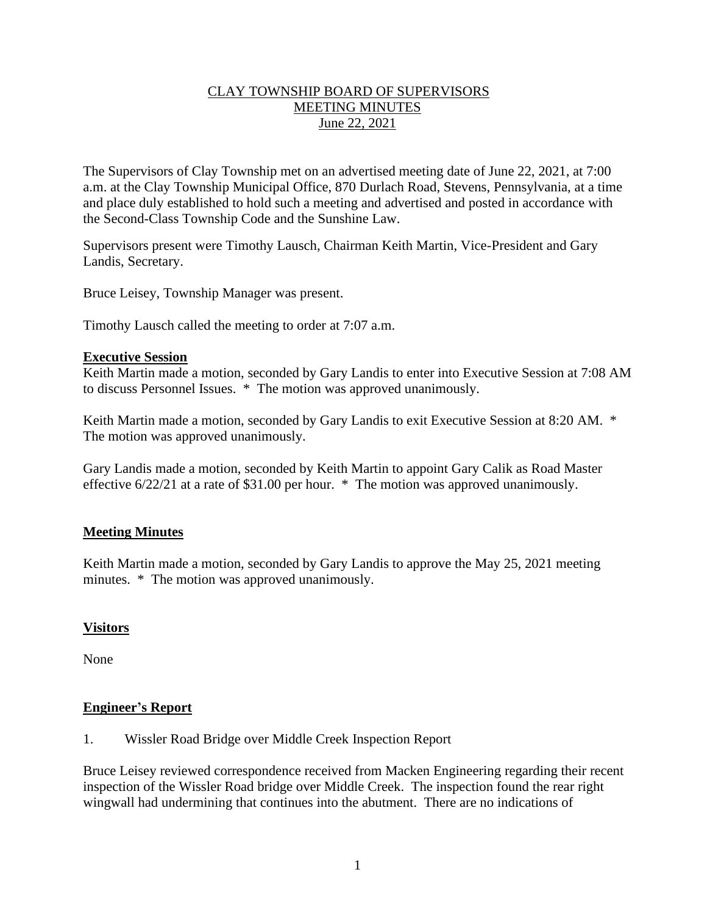## CLAY TOWNSHIP BOARD OF SUPERVISORS MEETING MINUTES June 22, 2021

The Supervisors of Clay Township met on an advertised meeting date of June 22, 2021, at 7:00 a.m. at the Clay Township Municipal Office, 870 Durlach Road, Stevens, Pennsylvania, at a time and place duly established to hold such a meeting and advertised and posted in accordance with the Second-Class Township Code and the Sunshine Law.

Supervisors present were Timothy Lausch, Chairman Keith Martin, Vice-President and Gary Landis, Secretary.

Bruce Leisey, Township Manager was present.

Timothy Lausch called the meeting to order at 7:07 a.m.

#### **Executive Session**

Keith Martin made a motion, seconded by Gary Landis to enter into Executive Session at 7:08 AM to discuss Personnel Issues. \* The motion was approved unanimously.

Keith Martin made a motion, seconded by Gary Landis to exit Executive Session at 8:20 AM. \* The motion was approved unanimously.

Gary Landis made a motion, seconded by Keith Martin to appoint Gary Calik as Road Master effective 6/22/21 at a rate of \$31.00 per hour. \* The motion was approved unanimously.

# **Meeting Minutes**

Keith Martin made a motion, seconded by Gary Landis to approve the May 25, 2021 meeting minutes. \* The motion was approved unanimously.

# **Visitors**

None

# **Engineer's Report**

1. Wissler Road Bridge over Middle Creek Inspection Report

Bruce Leisey reviewed correspondence received from Macken Engineering regarding their recent inspection of the Wissler Road bridge over Middle Creek. The inspection found the rear right wingwall had undermining that continues into the abutment. There are no indications of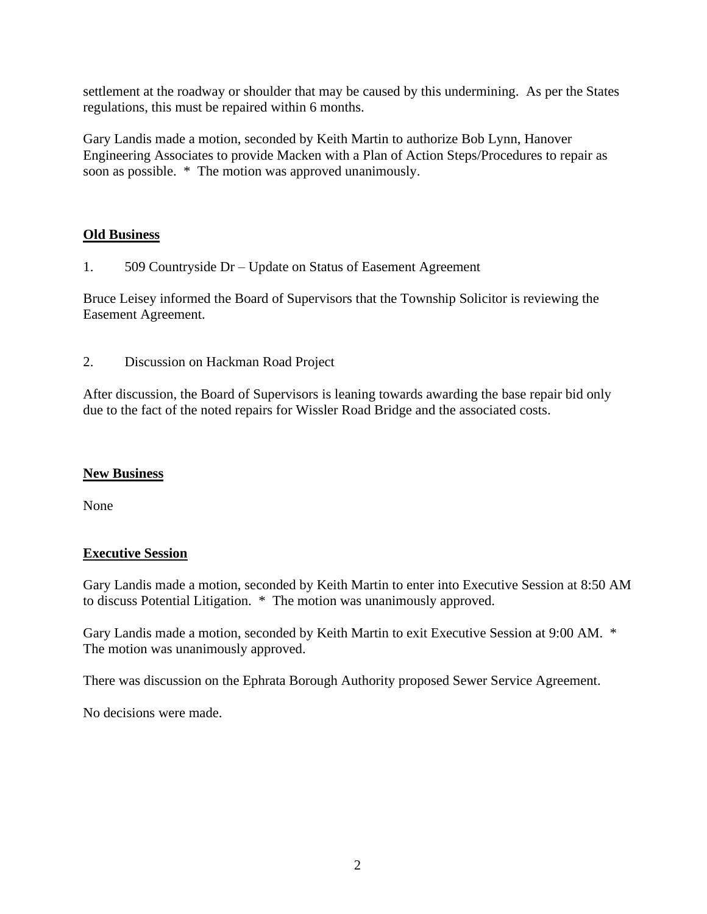settlement at the roadway or shoulder that may be caused by this undermining. As per the States regulations, this must be repaired within 6 months.

Gary Landis made a motion, seconded by Keith Martin to authorize Bob Lynn, Hanover Engineering Associates to provide Macken with a Plan of Action Steps/Procedures to repair as soon as possible. \* The motion was approved unanimously.

## **Old Business**

1. 509 Countryside Dr – Update on Status of Easement Agreement

Bruce Leisey informed the Board of Supervisors that the Township Solicitor is reviewing the Easement Agreement.

2. Discussion on Hackman Road Project

After discussion, the Board of Supervisors is leaning towards awarding the base repair bid only due to the fact of the noted repairs for Wissler Road Bridge and the associated costs.

#### **New Business**

None

#### **Executive Session**

Gary Landis made a motion, seconded by Keith Martin to enter into Executive Session at 8:50 AM to discuss Potential Litigation. \* The motion was unanimously approved.

Gary Landis made a motion, seconded by Keith Martin to exit Executive Session at 9:00 AM. \* The motion was unanimously approved.

There was discussion on the Ephrata Borough Authority proposed Sewer Service Agreement.

No decisions were made.